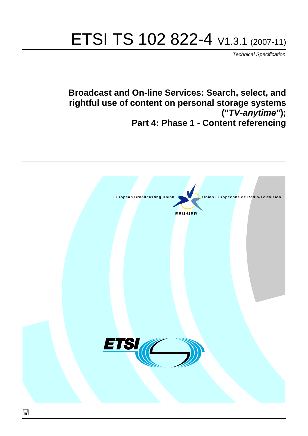# ETSI TS 102 822-4 V1.3.1 (2007-11)

*Technical Specification*

**Broadcast and On-line Services: Search, select, and rightful use of content on personal storage systems ("***TV-anytime***"); Part 4: Phase 1 - Content referencing**

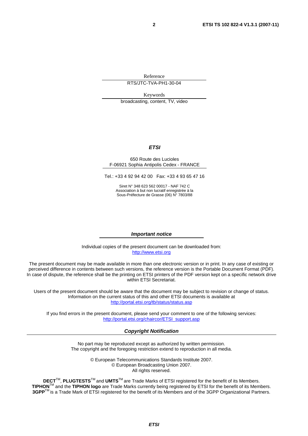Reference

RTS/JTC-TVA-PH1-30-04

Keywords

broadcasting, content, TV, video

#### *ETSI*

#### 650 Route des Lucioles F-06921 Sophia Antipolis Cedex - FRANCE

Tel.: +33 4 92 94 42 00 Fax: +33 4 93 65 47 16

Siret N° 348 623 562 00017 - NAF 742 C Association à but non lucratif enregistrée à la Sous-Préfecture de Grasse (06) N° 7803/88

#### *Important notice*

Individual copies of the present document can be downloaded from: [http://www.etsi.org](http://www.etsi.org/)

The present document may be made available in more than one electronic version or in print. In any case of existing or perceived difference in contents between such versions, the reference version is the Portable Document Format (PDF). In case of dispute, the reference shall be the printing on ETSI printers of the PDF version kept on a specific network drive within ETSI Secretariat.

Users of the present document should be aware that the document may be subject to revision or change of status. Information on the current status of this and other ETSI documents is available at <http://portal.etsi.org/tb/status/status.asp>

If you find errors in the present document, please send your comment to one of the following services: [http://portal.etsi.org/chaircor/ETSI\\_support.asp](http://portal.etsi.org/chaircor/ETSI_support.asp)

#### *Copyright Notification*

No part may be reproduced except as authorized by written permission. The copyright and the foregoing restriction extend to reproduction in all media.

> © European Telecommunications Standards Institute 2007. © European Broadcasting Union 2007. All rights reserved.

**DECT**TM, **PLUGTESTS**TM and **UMTS**TM are Trade Marks of ETSI registered for the benefit of its Members. **TIPHON**TM and the **TIPHON logo** are Trade Marks currently being registered by ETSI for the benefit of its Members. **3GPP**TM is a Trade Mark of ETSI registered for the benefit of its Members and of the 3GPP Organizational Partners.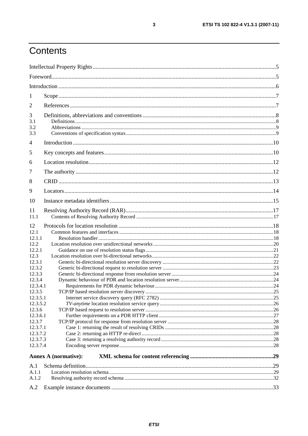# Contents

| 1                      |                             |  |
|------------------------|-----------------------------|--|
| 2                      |                             |  |
| 3<br>3.1<br>3.2<br>3.3 |                             |  |
| $\overline{4}$         |                             |  |
| 5                      |                             |  |
| 6                      |                             |  |
| 7                      |                             |  |
| 8                      |                             |  |
| 9                      |                             |  |
| 10                     |                             |  |
| 11<br>11.1             |                             |  |
| 12                     |                             |  |
| 12.1                   |                             |  |
| 12.1.1                 |                             |  |
| 12.2                   |                             |  |
| 12.2.1                 |                             |  |
| 12.3                   |                             |  |
| 12.3.1                 |                             |  |
| 12.3.2                 |                             |  |
| 12.3.3                 |                             |  |
| 12.3.4<br>12.3.4.1     |                             |  |
| 12.3.5                 |                             |  |
| 12.3.5.1               |                             |  |
| 12.3.5.2               |                             |  |
| 12.3.6                 |                             |  |
| 12.3.6.1               |                             |  |
| 12.3.7                 |                             |  |
| 12.3.7.1               |                             |  |
| 12.3.7.2               |                             |  |
| 12.3.7.3               |                             |  |
| 12.3.7.4               |                             |  |
|                        | <b>Annex A (normative):</b> |  |
| A.1                    |                             |  |
| A.1.1                  |                             |  |
| A.1.2                  |                             |  |
|                        |                             |  |
| A.2                    |                             |  |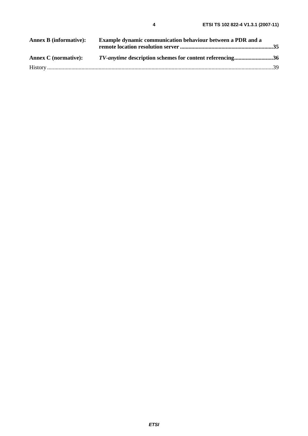| <b>Annex B</b> (informative): | Example dynamic communication behaviour between a PDR and a     |  |
|-------------------------------|-----------------------------------------------------------------|--|
| <b>Annex C</b> (normative):   | <i>TV-anytime</i> description schemes for content referencing36 |  |
|                               |                                                                 |  |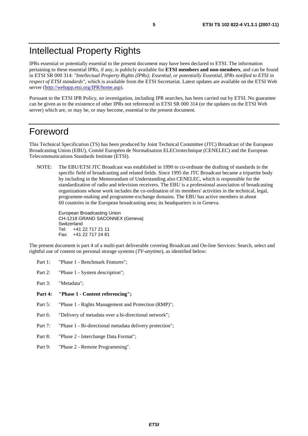# Intellectual Property Rights

IPRs essential or potentially essential to the present document may have been declared to ETSI. The information pertaining to these essential IPRs, if any, is publicly available for **ETSI members and non-members**, and can be found in ETSI SR 000 314: *"Intellectual Property Rights (IPRs); Essential, or potentially Essential, IPRs notified to ETSI in respect of ETSI standards"*, which is available from the ETSI Secretariat. Latest updates are available on the ETSI Web server ([http://webapp.etsi.org/IPR/home.asp\)](http://webapp.etsi.org/IPR/home.asp).

Pursuant to the ETSI IPR Policy, no investigation, including IPR searches, has been carried out by ETSI. No guarantee can be given as to the existence of other IPRs not referenced in ETSI SR 000 314 (or the updates on the ETSI Web server) which are, or may be, or may become, essential to the present document.

### Foreword

This Technical Specification (TS) has been produced by Joint Technical Committee (JTC) Broadcast of the European Broadcasting Union (EBU), Comité Européen de Normalisation ELECtrotechnique (CENELEC) and the European Telecommunications Standards Institute (ETSI).

NOTE: The EBU/ETSI JTC Broadcast was established in 1990 to co-ordinate the drafting of standards in the specific field of broadcasting and related fields. Since 1995 the JTC Broadcast became a tripartite body by including in the Memorandum of Understanding also CENELEC, which is responsible for the standardization of radio and television receivers. The EBU is a professional association of broadcasting organizations whose work includes the co-ordination of its members' activities in the technical, legal, programme-making and programme-exchange domains. The EBU has active members in about 60 countries in the European broadcasting area; its headquarters is in Geneva.

European Broadcasting Union CH-1218 GRAND SACONNEX (Geneva) Switzerland Tel: +41 22 717 21 11 Fax: +41 22 717 24 81

The present document is part 4 of a multi-part deliverable covering Broadcast and On-line Services: Search, select and rightful use of content on personal storage systems (*TV-anytime*), as identified below:

- Part 1: "Phase 1 Benchmark Features":
- Part 2: "Phase 1 System description";
- Part 3: "Metadata";
- **Part 4: "Phase 1 - Content referencing";**
- Part 5: "Phase 1 Rights Management and Protection (RMP)";
- Part 6: "Delivery of metadata over a bi-directional network";
- Part 7: "Phase 1 Bi-directional metadata delivery protection";
- Part 8: "Phase 2 Interchange Data Format";
- Part 9: "Phase 2 Remote Programming".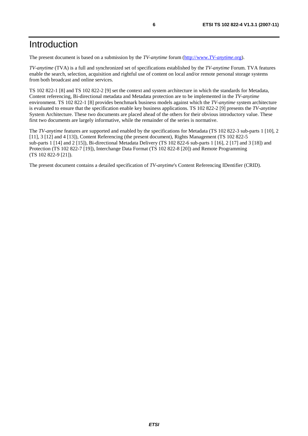# Introduction

The present document is based on a submission by the *TV-anytime* forum [\(http://www.](http://www.tv-anytime.org/)*TV-anytime*.org).

*TV-anytime* (TVA) is a full and synchronized set of specifications established by the *TV-anytime* Forum. TVA features enable the search, selection, acquisition and rightful use of content on local and/or remote personal storage systems from both broadcast and online services.

TS 102 822-1 [8] and TS 102 822-2 [9] set the context and system architecture in which the standards for Metadata, Content referencing, Bi-directional metadata and Metadata protection are to be implemented in the *TV-anytime* environment. TS 102 822-1 [8] provides benchmark business models against which the *TV-anytime* system architecture is evaluated to ensure that the specification enable key business applications. TS 102 822-2 [9] presents the *TV-anytime* System Architecture. These two documents are placed ahead of the others for their obvious introductory value. These first two documents are largely informative, while the remainder of the series is normative.

The *TV-anytime* features are supported and enabled by the specifications for Metadata (TS 102 822-3 sub-parts 1 [10], 2 [11], 3 [12] and 4 [13]), Content Referencing (the present document), Rights Management (TS 102 822-5 sub-parts 1 [14] and 2 [15]), Bi-directional Metadata Delivery (TS 102 822-6 sub-parts 1 [16], 2 [17] and 3 [18]) and Protection (TS 102 822-7 [19]), Interchange Data Format (TS 102 822-8 [20]) and Remote Programming (TS 102 822-9 [21]).

The present document contains a detailed specification of *TV-anytime*'s Content Referencing IDentifier (CRID).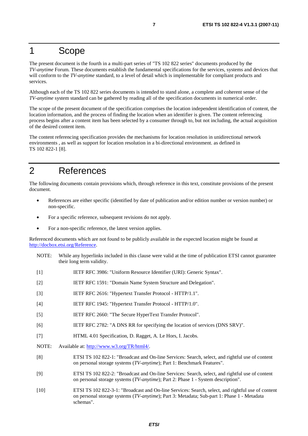### 1 Scope

The present document is the fourth in a multi-part series of "TS 102 822 series" documents produced by the *TV-anytime* Forum. These documents establish the fundamental specifications for the services, systems and devices that will conform to the *TV-anytime* standard, to a level of detail which is implementable for compliant products and services.

Although each of the TS 102 822 series documents is intended to stand alone, a complete and coherent sense of the *TV-anytime* system standard can be gathered by reading all of the specification documents in numerical order.

The scope of the present document of the specification comprises the location independent identification of content, the location information, and the process of finding the location when an identifier is given. The content referencing process begins after a content item has been selected by a consumer through to, but not including, the actual acquisition of the desired content item.

The content referencing specification provides the mechanisms for location resolution in unidirectional network environments , as well as support for location resolution in a bi-directional environment. as defined in TS 102 822-1 [8].

# 2 References

The following documents contain provisions which, through reference in this text, constitute provisions of the present document.

- References are either specific (identified by date of publication and/or edition number or version number) or non-specific.
- For a specific reference, subsequent revisions do not apply.
- For a non-specific reference, the latest version applies.

Referenced documents which are not found to be publicly available in the expected location might be found at <http://docbox.etsi.org/Reference>.

- NOTE: While any hyperlinks included in this clause were valid at the time of publication ETSI cannot guarantee their long term validity.
- [1] IETF RFC 3986: "Uniform Resource Identifier (URI): Generic Syntax".
- [2] IETF RFC 1591: "Domain Name System Structure and Delegation".
- [3] IETF RFC 2616: "Hypertext Transfer Protocol HTTP/1.1".
- [4] IETF RFC 1945: "Hypertext Transfer Protocol HTTP/1.0".
- [5] IETF RFC 2660: "The Secure HyperText Transfer Protocol".
- [6] IETF RFC 2782: "A DNS RR for specifying the location of services (DNS SRV)".
- [7] HTML 4.01 Specification, D. Ragget, A. Le Hors, I. Jacobs.
- NOTE: Available at: [http://www.w3.org/TR/html4/.](http://www.w3.org/TR/html4/)
- [8] ETSI TS 102 822-1: "Broadcast and On-line Services: Search, select, and rightful use of content on personal storage systems (*TV-anytime*); Part 1: Benchmark Features".
- [9] ETSI TS 102 822-2: "Broadcast and On-line Services: Search, select, and rightful use of content on personal storage systems (*TV-anytime*); Part 2: Phase 1 - System description".
- [10] ETSI TS 102 822-3-1: "Broadcast and On-line Services: Search, select, and rightful use of content on personal storage systems (*TV-anytime*); Part 3: Metadata; Sub-part 1: Phase 1 - Metadata schemas".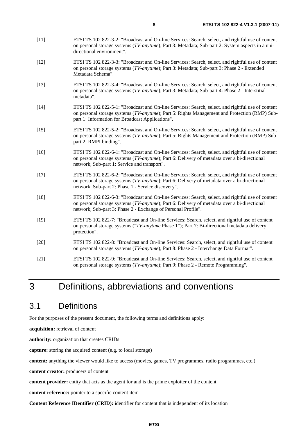- [11] ETSI TS 102 822-3-2: "Broadcast and On-line Services: Search, select, and rightful use of content on personal storage systems (*TV-anytime*); Part 3: Metadata; Sub-part 2: System aspects in a unidirectional environment".
- [12] ETSI TS 102 822-3-3: "Broadcast and On-line Services: Search, select, and rightful use of content on personal storage systems (*TV-anytime*); Part 3: Metadata; Sub-part 3: Phase 2 - Extended Metadata Schema".
- [13] ETSI TS 102 822-3-4: "Broadcast and On-line Services: Search, select, and rightful use of content on personal storage systems (*TV-anytime*); Part 3: Metadata; Sub-part 4: Phase 2 - Interstitial metadata".
- [14] ETSI TS 102 822-5-1: "Broadcast and On-line Services: Search, select, and rightful use of content on personal storage systems (*TV-anytime*); Part 5: Rights Management and Protection (RMP) Subpart 1: Information for Broadcast Applications".
- [15] ETSI TS 102 822-5-2: "Broadcast and On-line Services: Search, select, and rightful use of content on personal storage systems (*TV-anytime*); Part 5: Rights Management and Protection (RMP) Subpart 2: RMPI binding".
- [16] ETSI TS 102 822-6-1: "Broadcast and On-line Services: Search, select, and rightful use of content on personal storage systems (*TV-anytime*); Part 6: Delivery of metadata over a bi-directional network; Sub-part 1: Service and transport".
- [17] ETSI TS 102 822-6-2: "Broadcast and On-line Services: Search, select, and rightful use of content on personal storage systems (*TV-anytime*); Part 6: Delivery of metadata over a bi-directional network; Sub-part 2: Phase 1 - Service discovery".
- [18] ETSI TS 102 822-6-3: "Broadcast and On-line Services: Search, select, and rightful use of content on personal storage systems (*TV-anytime*); Part 6: Delivery of metadata over a bi-directional network; Sub-part 3: Phase 2 - Exchange of Personal Profile".
- [19] ETSI TS 102 822-7: "Broadcast and On-line Services: Search, select, and rightful use of content on personal storage systems ("*TV-anytime* Phase 1"); Part 7: Bi-directional metadata delivery protection".
- [20] ETSI TS 102 822-8: "Broadcast and On-line Services: Search, select, and rightful use of content on personal storage systems (*TV-anytime*); Part 8: Phase 2 - Interchange Data Format".
- [21] ETSI TS 102 822-9: "Broadcast and On-line Services: Search, select, and rightful use of content on personal storage systems (*TV-anytime*); Part 9: Phase 2 - Remote Programming".

# 3 Definitions, abbreviations and conventions

### 3.1 Definitions

For the purposes of the present document, the following terms and definitions apply:

**acquisition:** retrieval of content

**authority:** organization that creates CRIDs

**capture:** storing the acquired content (e.g. to local storage)

**content:** anything the viewer would like to access (movies, games, TV programmes, radio programmes, etc.)

**content creator:** producers of content

**content provider:** entity that acts as the agent for and is the prime exploiter of the content

**content reference:** pointer to a specific content item

**Content Reference IDentifier (CRID):** identifier for content that is independent of its location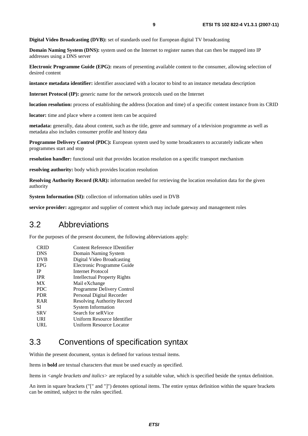**Digital Video Broadcasting (DVB):** set of standards used for European digital TV broadcasting

**Domain Naming System (DNS):** system used on the Internet to register names that can then be mapped into IP addresses using a DNS server

**Electronic Programme Guide (EPG):** means of presenting available content to the consumer, allowing selection of desired content

**instance metadata identifier:** identifier associated with a locator to bind to an instance metadata description

**Internet Protocol (IP):** generic name for the network protocols used on the Internet

**location resolution:** process of establishing the address (location and time) of a specific content instance from its CRID

**locator:** time and place where a content item can be acquired

**metadata:** generally, data about content, such as the title, genre and summary of a television programme as well as metadata also includes consumer profile and history data

**Programme Delivery Control (PDC):** European system used by some broadcasters to accurately indicate when programmes start and stop

**resolution handler:** functional unit that provides location resolution on a specific transport mechanism

**resolving authority:** body which provides location resolution

**Resolving Authority Record (RAR):** information needed for retrieving the location resolution data for the given authority

**System Information (SI):** collection of information tables used in DVB

**service provider:** aggregator and supplier of content which may include gateway and management roles

### 3.2 Abbreviations

For the purposes of the present document, the following abbreviations apply:

| Content Reference IDentifier |
|------------------------------|
| Domain Naming System         |
| Digital Video Broadcasting   |
| Electronic Programme Guide   |
| Internet Protocol            |
| Intellectual Property Rights |
| Mail eXchange                |
| Programme Delivery Control   |
| Personal Digital Recorder    |
| Resolving Authority Record   |
| <b>System Information</b>    |
| Search for seRVice           |
| Uniform Resource Identifier  |
| Uniform Resource Locator     |
|                              |

### 3.3 Conventions of specification syntax

Within the present document, syntax is defined for various textual items.

Items in **bold** are textual characters that must be used exactly as specified.

Items in *<angle brackets and italics>* are replaced by a suitable value, which is specified beside the syntax definition.

An item in square brackets ("[" and "]") denotes optional items. The entire syntax definition within the square brackets can be omitted, subject to the rules specified.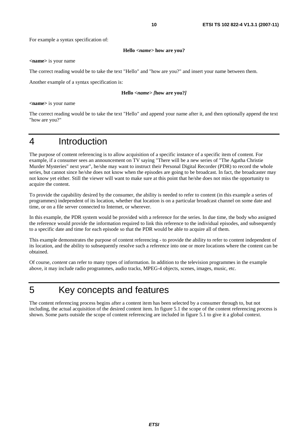For example a syntax specification of:

#### **Hello** *<name>* **how are you?**

**<name>** is your name

The correct reading would be to take the text "Hello" and "how are you?" and insert your name between them.

Another example of a syntax specification is:

#### **Hello** *<name> [***how are you?***]*

**<name>** is your name

The correct reading would be to take the text "Hello" and append your name after it, and then optionally append the text "how are you?"

# 4 Introduction

The purpose of content referencing is to allow acquisition of a specific instance of a specific item of content. For example, if a consumer sees an announcement on TV saying "There will be a new series of "The Agatha Christie Murder Mysteries" next year", he/she may want to instruct their Personal Digital Recorder (PDR) to record the whole series, but cannot since he/she does not know when the episodes are going to be broadcast. In fact, the broadcaster may not know yet either. Still the viewer will want to make sure at this point that he/she does not miss the opportunity to acquire the content.

To provide the capability desired by the consumer, the ability is needed to refer to content (in this example a series of programmes) independent of its location, whether that location is on a particular broadcast channel on some date and time, or on a file server connected to Internet, or wherever.

In this example, the PDR system would be provided with a reference for the series. In due time, the body who assigned the reference would provide the information required to link this reference to the individual episodes, and subsequently to a specific date and time for each episode so that the PDR would be able to acquire all of them.

This example demonstrates the purpose of content referencing - to provide the ability to refer to content independent of its location, and the ability to subsequently resolve such a reference into one or more locations where the content can be obtained.

Of course, *content* can refer to many types of information. In addition to the television programmes in the example above, it may include radio programmes, audio tracks, MPEG-4 objects, scenes, images, music, etc.

# 5 Key concepts and features

The content referencing process begins after a content item has been selected by a consumer through to, but not including, the actual acquisition of the desired content item. In figure 5.1 the scope of the content referencing process is shown. Some parts outside the scope of content referencing are included in figure 5.1 to give it a global context.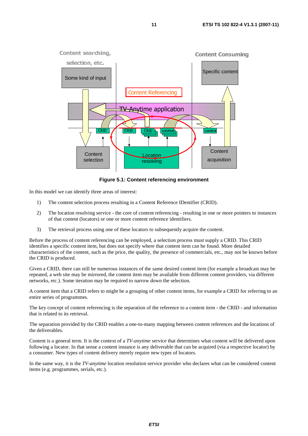

**Figure 5.1: Content referencing environment** 

In this model we can identify three areas of interest:

- 1) The content selection process resulting in a Content Reference IDentifier (CRID).
- 2) The location resolving service the core of content referencing resulting in one or more pointers to instances of that content (locators) or one or more content reference identifiers.
- 3) The retrieval process using one of these locators to subsequently acquire the content.

Before the process of content referencing can be employed, a selection process must supply a CRID. This CRID identifies a specific content item, but does not specify where that content item can be found. More detailed characteristics of the content, such as the price, the quality, the presence of commercials, etc., may not be known before the CRID is produced.

Given a CRID, there can still be numerous instances of the same desired content item (for example a broadcast may be repeated, a web site may be mirrored, the content item may be available from different content providers, via different networks, etc.). Some iteration may be required to narrow down the selection.

A content item that a CRID refers to might be a grouping of other content items, for example a CRID for referring to an entire series of programmes.

The key concept of content referencing is the separation of the reference to a content item - the CRID - and information that is related to its retrieval.

The separation provided by the CRID enables a one-to-many mapping between content references and the locations of the deliverables.

Content is a general term. It is the context of a *TV-anytime* service that determines what content will be delivered upon following a locator. In that sense a content instance is any deliverable that can be acquired (via a respective locator) by a consumer. New types of content delivery merely require new types of locators.

In the same way, it is the *TV-anytime* location resolution service provider who declares what can be considered content items (e.g. programmes, serials, etc.).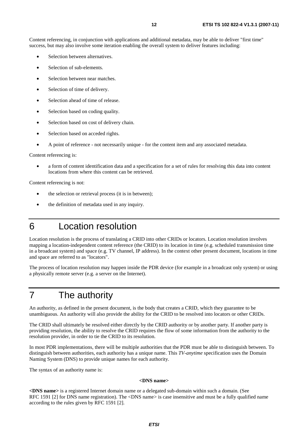Content referencing, in conjunction with applications and additional metadata, may be able to deliver "first time" success, but may also involve some iteration enabling the overall system to deliver features including:

- Selection between alternatives.
- Selection of sub-elements.
- Selection between near matches.
- Selection of time of delivery.
- Selection ahead of time of release.
- Selection based on coding quality.
- Selection based on cost of delivery chain.
- Selection based on acceded rights.
- A point of reference not necessarily unique for the content item and any associated metadata.

Content referencing is:

• a form of content identification data and a specification for a set of rules for resolving this data into content locations from where this content can be retrieved.

Content referencing is not:

- the selection or retrieval process (it is in between);
- the definition of metadata used in any inquiry.
- 6 Location resolution

Location resolution is the process of translating a CRID into other CRIDs or locators. Location resolution involves mapping a location-independent content reference (the CRID) to its location in time (e.g. scheduled transmission time in a broadcast system) and space (e.g. TV channel, IP address). In the context other present document, locations in time and space are referred to as "locators".

The process of location resolution may happen inside the PDR device (for example in a broadcast only system) or using a physically remote server (e.g. a server on the Internet).

# 7 The authority

An authority, as defined in the present document, is the body that creates a CRID, which they guarantee to be unambiguous. An authority will also provide the ability for the CRID to be resolved into locators or other CRIDs.

The CRID shall ultimately be resolved either directly by the CRID authority or by another party. If another party is providing resolution, the ability to resolve the CRID requires the flow of some information from the authority to the resolution provider, in order to tie the CRID to its resolution.

In most PDR implementations, there will be multiple authorities that the PDR must be able to distinguish between. To distinguish between authorities, each authority has a unique name. This *TV-anytime* specification uses the Domain Naming System (DNS) to provide unique names for each authority.

The syntax of an authority name is:

#### **<DNS name>**

**<DNS name>** is a registered Internet domain name or a delegated sub-domain within such a domain. (See RFC 1591 [2] for DNS name registration). The <DNS name> is case insensitive and must be a fully qualified name according to the rules given by RFC 1591 [2].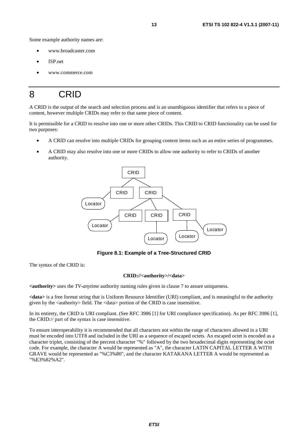Some example authority names are:

- www.broadcaster.com
- ISP net
- www.commerce.com

# 8 CRID

A CRID is the output of the search and selection process and is an unambiguous identifier that refers to a piece of content, however multiple CRIDs may refer to that same piece of content.

It is permissible for a CRID to resolve into one or more other CRIDs. This CRID to CRID functionality can be used for two purposes:

- A CRID can resolve into multiple CRIDs for grouping content items such as an entire series of programmes.
- A CRID may also resolve into one or more CRIDs to allow one authority to refer to CRIDs of another authority.



**Figure 8.1: Example of a Tree-Structured CRID** 

The syntax of the CRID is:

#### **CRID://<authority>/<data>**

**<authority>** uses the *TV-anytime* authority naming rules given in clause 7 to assure uniqueness.

**<data>** is a free format string that is Uniform Resource Identifier (URI) compliant, and is meaningful to the authority given by the <authority> field. The <data> portion of the CRID is case insensitive.

In its entirety, the CRID is URI compliant. (See RFC 3986 [1] for URI compliance specification). As per RFC 3986 [1], the CRID:// part of the syntax is case insensitive.

To ensure interoperability it is recommended that all characters not within the range of characters allowed in a URI must be encoded into UTF8 and included in the URI as a sequence of escaped octets. An escaped octet is encoded as a character triplet, consisting of the percent character "%" followed by the two hexadecimal digits representing the octet code. For example, the character A would be represented as "A", the character LATIN CAPITAL LETTER A WITH GRAVE would be represented as "%C3%80", and the character KATAKANA LETTER A would be represented as "%E3%82%A2".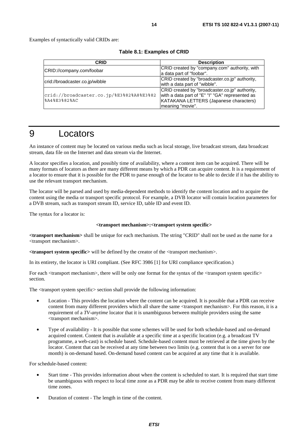Examples of syntactically valid CRIDs are:

| <b>CRID</b>                                              | <b>Description</b>                                                                                                                                              |
|----------------------------------------------------------|-----------------------------------------------------------------------------------------------------------------------------------------------------------------|
| CRID://company.com/foobar                                | CRID created by "company.com" authority, with<br>a data part of "foobar".                                                                                       |
| crid://broadcaster.co.jp/wibble                          | CRID created by "broadcaster.co.jp" authority,<br>with a data part of "wibble".                                                                                 |
| crid://broadcaster.co.jp/%E3%82%A8%E3%82<br>%A4%E3%82%AC | CRID created by "broadcaster.co.jp" authority,<br>with a data part of "E" "I" "GA" represented as<br>KATAKANA LETTERS (Japanese characters)<br>meaning "movie". |

### 9 Locators

An instance of content may be located on various media such as local storage, live broadcast stream, data broadcast stream, data file on the Internet and data stream via the Internet.

A locator specifies a location, and possibly time of availability, where a content item can be acquired. There will be many formats of locators as there are many different means by which a PDR can acquire content. It is a requirement of a locator to ensure that it is possible for the PDR to parse enough of the locator to be able to decide if it has the ability to use the relevant transport mechanism.

The locator will be parsed and used by media-dependent methods to identify the content location and to acquire the content using the media or transport specific protocol. For example, a DVB locator will contain location parameters for a DVB stream, such as transport stream ID, service ID, table ID and event ID.

The syntax for a locator is:

#### **<transport mechanism>:<transport system specific>**

**<transport mechanism>** shall be unique for each mechanism. The string "CRID" shall not be used as the name for a <transport mechanism>.

**<transport system specific>** will be defined by the creator of the <transport mechanism>.

In its entirety, the locator is URI compliant. (See RFC 3986 [1] for URI compliance specification.)

For each  $\langle$ transport mechanism $\rangle$ , there will be only one format for the syntax of the  $\langle$ transport system specific $\rangle$ section.

The <transport system specific> section shall provide the following information:

- Location This provides the location where the content can be acquired. It is possible that a PDR can receive content from many different providers which all share the same <transport mechanism>. For this reason, it is a requirement of a *TV-anytime* locator that it is unambiguous between multiple providers using the same <transport mechanism>.
- Type of availability It is possible that some schemes will be used for both schedule-based and on-demand acquired content. Content that is available at a specific time at a specific location (e.g. a broadcast TV programme, a web-cast) is schedule based. Schedule-based content must be retrieved at the time given by the locator. Content that can be received at any time between two limits (e.g. content that is on a server for one month) is on-demand based. On-demand based content can be acquired at any time that it is available.

For schedule-based content:

- Start time This provides information about when the content is scheduled to start. It is required that start time be unambiguous with respect to local time zone as a PDR may be able to receive content from many different time zones.
- Duration of content The length in time of the content.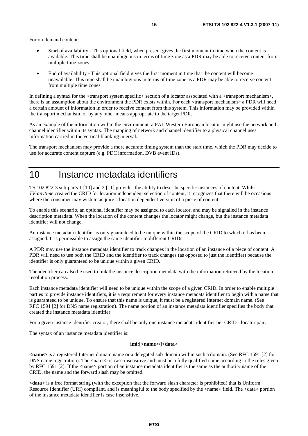For on-demand content:

- Start of availability This optional field, when present gives the first moment in time when the content is available. This time shall be unambiguous in terms of time zone as a PDR may be able to receive content from multiple time zones.
- End of availability This optional field gives the first moment in time that the content will become unavailable. This time shall be unambiguous in terms of time zone as a PDR may be able to receive content from multiple time zones.

In defining a syntax for the  $\langle$ transport system specific $\rangle$  section of a locator associated with a  $\langle$ transport mechanism $\rangle$ , there is an assumption about the environment the PDR exists within. For each <transport mechanism> a PDR will need a certain amount of information in order to receive content from this system. This information may be provided within the transport mechanism, or by any other means appropriate to the target PDR.

As an example of the information within the environment, a PAL Western European locator might use the network and channel identifier within its syntax. The mapping of network and channel identifier to a physical channel uses information carried in the vertical-blanking interval.

The transport mechanism may provide a more accurate timing system than the start time, which the PDR may decide to use for accurate content capture (e.g. PDC information, DVB event IDs).

### 10 Instance metadata identifiers

TS 102 822-3 sub-parts 1 [10] and 2 [11] provides the ability to describe specific instances of content. Whilst *TV-anytime* created the CRID for location independent selection of content, it recognizes that there will be occasions where the consumer may wish to acquire a location dependent version of a piece of content.

To enable this scenario, an optional identifier may be assigned to each locator, and may be signalled in the instance description metadata. When the location of the content changes the locator might change, but the instance metadata identifier will not change.

An instance metadata identifier is only guaranteed to be unique within the scope of the CRID to which it has been assigned. It is permissible to assign the same identifier to different CRIDs.

A PDR may use the instance metadata identifier to track changes in the location of an instance of a piece of content. A PDR will need to use both the CRID and the identifier to track changes (as opposed to just the identifier) because the identifier is only guaranteed to be unique within a given CRID.

The identifier can also be used to link the instance description metadata with the information retrieved by the location resolution process.

Each instance metadata identifier will need to be unique within the scope of a given CRID. In order to enable multiple parties to provide instance identifiers, it is a requirement for every instance metadata identifier to begin with a name that is guaranteed to be unique. To ensure that this name is unique, it must be a registered Internet domain name. (See RFC 1591 [2] for DNS name registration). The name portion of an instance metadata identifier specifies the body that created the instance metadata identifier.

For a given instance identifier creator, there shall be only one instance metadata identifier per CRID - locator pair.

The syntax of an instance metadata identifier is:

#### **imi:[<name>/]<data>**

**<name>** is a registered Internet domain name or a delegated sub-domain within such a domain. (See RFC 1591 [2] for DNS name registration). The  $\alpha$  -name is case insensitive and must be a fully qualified name according to the rules given by RFC 1591 [2]. If the <name> portion of an instance metadata identifier is the same as the authority name of the CRID, the name and the forward slash may be omitted.

**<data>** is a free format string (with the exception that the forward slash character is prohibited) that is Uniform Resource Identifier (URI) compliant, and is meaningful to the body specified by the <name> field. The <data> portion of the instance metadata identifier is case insensitive.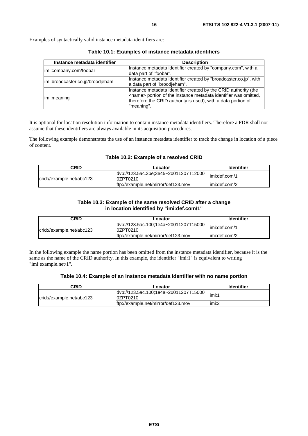Examples of syntactically valid instance metadata identifiers are:

| Instance metadata identifier     | <b>Description</b>                                                                                                                                                                                                         |
|----------------------------------|----------------------------------------------------------------------------------------------------------------------------------------------------------------------------------------------------------------------------|
| imi:company.com/foobar           | Instance metadata identifier created by "company.com", with a<br>data part of "foobar".                                                                                                                                    |
| imi:broadcaster.co.jp/broodjeham | Instance metadata identifier created by "broadcaster.co.jp", with<br>a data part of "broodjeham".                                                                                                                          |
| limi:meaning                     | Instance metadata identifier created by the CRID authority (the<br><name> portion of the instance metadata identifier was omitted,<br/>therefore the CRID authority is used), with a data portion of<br/>"meaning".</name> |

**Table 10.1: Examples of instance metadata identifiers** 

It is optional for location resolution information to contain instance metadata identifiers. Therefore a PDR shall not assume that these identifiers are always available in its acquisition procedures.

The following example demonstrates the use of an instance metadata identifier to track the change in location of a piece of content.

#### **Table 10.2: Example of a resolved CRID**

| <b>CRID</b>               | Locator                                            | <b>Identifier</b> |
|---------------------------|----------------------------------------------------|-------------------|
| crid://example.net/abc123 | ldvb://123.5ac.3be;3e45~20011207T12000<br>0ZPT0210 | limi:def.com/1    |
|                           | lftp://example.net/mirror/def123.mov               | limi:def.com/2    |

#### **Table 10.3: Example of the same resolved CRID after a change in location identified by "imi:def.com/1"**

| CRID                      | Locator                                            | <b>Identifier</b> |
|---------------------------|----------------------------------------------------|-------------------|
| crid://example.net/abc123 | ldvb://123.5ac.100;1e4a~20011207T15000<br>0ZPT0210 | limi:def.com/1    |
|                           | ftp://example.net/mirror/def123.mov                | limi:def.com/2    |

In the following example the name portion has been omitted from the instance metadata identifier, because it is the same as the name of the CRID authority. In this example, the identifier "imi:1" is equivalent to writing "imi:example.net/1".

#### **Table 10.4: Example of an instance metadata identifier with no name portion**

| <b>CRID</b>               | Locator                                            | <b>Identifier</b> |
|---------------------------|----------------------------------------------------|-------------------|
| crid://example.net/abc123 | ldyb://123.5ac.100;1e4a~20011207T15000<br>0ZPT0210 | limi:1            |
|                           | ftp://example.net/mirror/def123.mov                | limi:2            |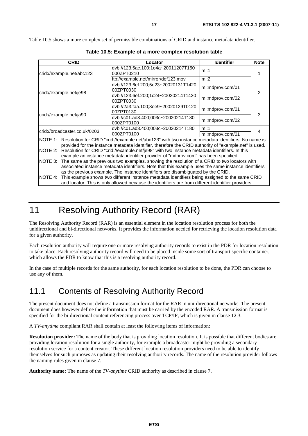Table 10.5 shows a more complex set of permissible combinations of CRID and instance metadata identifier.

|                                                                                                                                                                                                                     | <b>CRID</b>                                                                                               | Locator                                                                                             | <b>Identifier</b> | <b>Note</b> |
|---------------------------------------------------------------------------------------------------------------------------------------------------------------------------------------------------------------------|-----------------------------------------------------------------------------------------------------------|-----------------------------------------------------------------------------------------------------|-------------------|-------------|
| crid://example.net/abc123                                                                                                                                                                                           |                                                                                                           | dvb://123.5ac.100;1e4a~20011207T150<br>000ZPT0210                                                   | imi:1             |             |
|                                                                                                                                                                                                                     |                                                                                                           | ftp://example.net/mirror/def123.mov                                                                 | imi:2             |             |
| crid://example.net/je98                                                                                                                                                                                             |                                                                                                           | dvb://123.6ef.200;5e23~20020131T1420<br>00ZPT0030                                                   | imi:mdprov.com/01 | 2           |
|                                                                                                                                                                                                                     |                                                                                                           | dvb://123.6ef.200;1c24~20020214T1420<br>00ZPT0030                                                   | imi:mdprov.com/02 |             |
| crid://example.net/ja90                                                                                                                                                                                             |                                                                                                           | dvb://2a3.faa.100;8ee9~20020129T0120<br>00ZPT0130                                                   | imi:mdprov.com/01 | 3           |
|                                                                                                                                                                                                                     |                                                                                                           | dvb://c01.ad3.400;003c~20020214T180<br>000ZPT0100                                                   | imi:mdprov.com/02 |             |
|                                                                                                                                                                                                                     | crid://broadcaster.co.uk/0203                                                                             | dvb://c01.ad3.400;003c~20020214T180                                                                 | imi:1             | 4           |
|                                                                                                                                                                                                                     |                                                                                                           | 000ZPT0100                                                                                          | imi:mdprov.com/01 |             |
| NOTE 1: Resolution for CRID "crid://example.net/abc123" with two instance metadata identifiers. No name is<br>provided for the instance metadata identifier, therefore the CRID authority of "example.net" is used. |                                                                                                           |                                                                                                     |                   |             |
| NOTE 2:                                                                                                                                                                                                             | Resolution for CRID "crid://example.net/je98" with two instance metadata identifiers. In this             |                                                                                                     |                   |             |
|                                                                                                                                                                                                                     |                                                                                                           | example an instance metadata identifier provider of "mdprov.com" has been specified.                |                   |             |
| The same as the previous two examples, showing the resolution of a CRID to two locators with<br>NOTE 3:                                                                                                             |                                                                                                           |                                                                                                     |                   |             |
|                                                                                                                                                                                                                     |                                                                                                           | associated instance metadata identifiers. Note that this example uses the same instance identifiers |                   |             |
| as the previous example. The instance identifiers are disambiguated by the CRID.                                                                                                                                    |                                                                                                           |                                                                                                     |                   |             |
|                                                                                                                                                                                                                     | This example shows two different instance metadata identifiers being assigned to the same CRID<br>NOTE 4: |                                                                                                     |                   |             |
| and locator. This is only allowed because the identifiers are from different identifier providers.                                                                                                                  |                                                                                                           |                                                                                                     |                   |             |

**Table 10.5: Example of a more complex resolution table** 

# 11 Resolving Authority Record (RAR)

The Resolving Authority Record (RAR) is an essential element in the location resolution process for both the unidirectional and bi-directional networks. It provides the information needed for retrieving the location resolution data for a given authority.

Each resolution authority will require one or more resolving authority records to exist in the PDR for location resolution to take place. Each resolving authority record will need to be placed inside some sort of transport specific container, which allows the PDR to know that this is a resolving authority record.

In the case of multiple records for the same authority, for each location resolution to be done, the PDR can choose to use any of them.

### 11.1 Contents of Resolving Authority Record

The present document does not define a transmission format for the RAR in uni-directional networks. The present document does however define the information that must be carried by the encoded RAR. A transmission format is specified for the bi-directional content referencing process over TCP/IP, which is given in clause 12.3.

A *TV-anytime* compliant RAR shall contain at least the following items of information:

**Resolution provider:** The name of the body that is providing location resolution. It is possible that different bodies are providing location resolution for a single authority, for example a broadcaster might be providing a secondary resolution service for a content creator. These different location resolution providers need to be able to identify themselves for such purposes as updating their resolving authority records. The name of the resolution provider follows the naming rules given in clause 7.

**Authority name:** The name of the *TV-anytime* CRID authority as described in clause 7.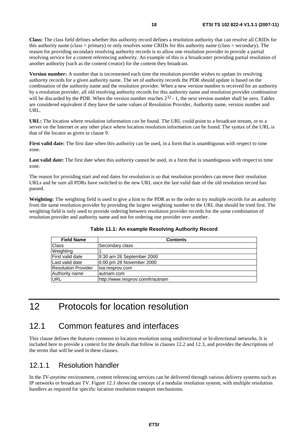**Class:** The class field defines whether this authority record defines a resolution authority that can resolve all CRIDs for this authority name (class = primary) or only resolves some CRIDs for this authority name (class = secondary). The reason for providing secondary resolving authority records is to allow one resolution provider to provide a partial resolving service for a content referencing authority. An example of this is a broadcaster providing partial resolution of another authority (such as the content creator) for the content they broadcast.

**Version number:** A number that is incremented each time the resolution provider wishes to update its resolving authority records for a given authority name. The set of authority records the PDR should update is based on the combination of the authority name and the resolution provider. When a new version number is received for an authority by a resolution provider, all old resolving authority records for this authority name and resolution provider combination will be discarded by the PDR. When the version number reaches  $2^{32}$  - 1, the next version number shall be zero. Tables are considered equivalent if they have the same values of Resolution Provider, Authority name, version number and URL.

**URL:** The location where resolution information can be found. The URL could point to a broadcast stream, or to a server on the Internet or any other place where location resolution information can be found. The syntax of the URL is that of the locator as given in clause 9.

**First valid date:** The first date when this authority can be used, in a form that is unambiguous with respect to time zone.

Last valid date: The first date when this authority cannot be used, in a form that is unambiguous with respect to time zone.

The reason for providing start and end dates for resolution is so that resolution providers can move their resolution URLs and be sure all PDRs have switched to the new URL once the last valid date of the old resolution record has passed.

**Weighting:** The weighting field is used to give a hint to the PDR as to the order to try multiple records for an authority from the same resolution provider by providing the largest weighting number to the URL that should be tried first. The weighting field is only used to provide ordering between resolution provider records for the same combination of resolution provider and authority name and not for ordering one provider over another.

| <b>Field Name</b>       | <b>Contents</b>                  |
|-------------------------|----------------------------------|
| Class                   | Secondary class                  |
| Weighting               |                                  |
| <b>First valid date</b> | 9:30 am 26 September 2000        |
| Last valid date         | 6:00 pm 28 November 2000         |
| Resolution Provider     | tva.resprov.com                  |
| Authority name          | lautnam.com                      |
| URL                     | http://www.resprov.com/lr/autnam |

**Table 11.1: An example Resolving Authority Record** 

# 12 Protocols for location resolution

### 12.1 Common features and interfaces

This clause defines the features common to location resolution using unidirectional or bi-directional networks. It is included here to provide a context for the details that follow in clauses 12.2 and 12.3, and provides the descriptions of the terms that will be used in these clauses.

### 12.1.1 Resolution handler

In the *TV-anytime* environment, content referencing services can be delivered through various delivery systems such as IP networks or broadcast TV. Figure 12.1 shows the concept of a modular resolution system, with multiple resolution handlers as required for specific location resolution transport mechanisms.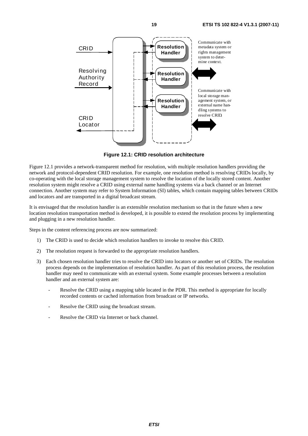

**Figure 12.1: CRID resolution architecture** 

Figure 12.1 provides a network-transparent method for resolution, with multiple resolution handlers providing the network and protocol-dependent CRID resolution. For example, one resolution method is resolving CRIDs locally, by co-operating with the local storage management system to resolve the location of the locally stored content. Another resolution system might resolve a CRID using external name handling systems via a back channel or an Internet connection. Another system may refer to System Information (SI) tables, which contain mapping tables between CRIDs and locators and are transported in a digital broadcast stream.

It is envisaged that the resolution handler is an extensible resolution mechanism so that in the future when a new location resolution transportation method is developed, it is possible to extend the resolution process by implementing and plugging in a new resolution handler.

Steps in the content referencing process are now summarized:

- 1) The CRID is used to decide which resolution handlers to invoke to resolve this CRID.
- 2) The resolution request is forwarded to the appropriate resolution handlers.
- 3) Each chosen resolution handler tries to resolve the CRID into locators or another set of CRIDs. The resolution process depends on the implementation of resolution handler. As part of this resolution process, the resolution handler may need to communicate with an external system. Some example processes between a resolution handler and an external system are:
	- Resolve the CRID using a mapping table located in the PDR. This method is appropriate for locally recorded contents or cached information from broadcast or IP networks.
	- Resolve the CRID using the broadcast stream.
	- Resolve the CRID via Internet or back channel.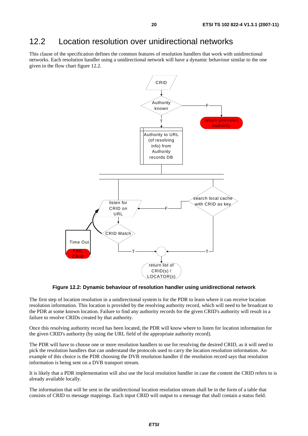### 12.2 Location resolution over unidirectional networks

This clause of the specification defines the common features of resolution handlers that work with unidirectional networks. Each resolution handler using a unidirectional network will have a dynamic behaviour similar to the one given in the flow chart figure 12.2.



**Figure 12.2: Dynamic behaviour of resolution handler using unidirectional network** 

The first step of location resolution in a unidirectional system is for the PDR to learn where it can receive location resolution information. This location is provided by the resolving authority record, which will need to be broadcast to the PDR at some known location. Failure to find any authority records for the given CRID's authority will result in a failure to resolve CRIDs created by that authority.

Once this resolving authority record has been located, the PDR will know where to listen for location information for the given CRID's authority (by using the URL field of the appropriate authority record).

The PDR will have to choose one or more resolution handlers to use for resolving the desired CRID, as it will need to pick the resolution handlers that can understand the protocols used to carry the location resolution information. An example of this choice is the PDR choosing the DVB resolution handler if the resolution record says that resolution information is being sent on a DVB transport stream.

It is likely that a PDR implementation will also use the local resolution handler in case the content the CRID refers to is already available locally.

The information that will be sent in the unidirectional location resolution stream shall be in the form of a table that consists of CRID to message mappings. Each input CRID will output to a message that shall contain a status field.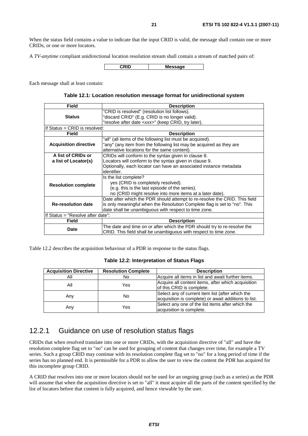When the status field contains a value to indicate that the input CRID is valid, the message shall contain one or more CRIDs, or one or more locators.

A *TV-anytime* compliant unidirectional location resolution stream shall contain a stream of matched pairs of:

**CRID Message** 

Each message shall at least contain:

#### **Table 12.1: Location resolution message format for unidirectional system**

| <b>Field</b>                      | <b>Description</b>                                                         |  |
|-----------------------------------|----------------------------------------------------------------------------|--|
|                                   | "CRID is resolved" (resolution list follows).                              |  |
| <b>Status</b>                     | "discard CRID" (E.g. CRID is no longer valid).                             |  |
|                                   | "resolve after date <xxx>" (keep CRID, try later).</xxx>                   |  |
| If Status = CRID is resolved:     |                                                                            |  |
| Field                             | <b>Description</b>                                                         |  |
|                                   | "all" (all items of the following list must be acquired).                  |  |
| <b>Acquisition directive</b>      | "any" (any item from the following list may be acquired as they are        |  |
|                                   | alternative locations for the same content).                               |  |
| A list of CRIDs or                | CRIDs will conform to the syntax given in clause 8.                        |  |
| a list of Locator(s)              | Locators will conform to the syntax given in clause 9.                     |  |
|                                   | Optionally, each locator can have an associated instance metadata          |  |
|                                   | identifier.                                                                |  |
|                                   | Is the list complete?                                                      |  |
| <b>Resolution complete</b>        | yes (CRID is completely resolved).                                         |  |
|                                   | (e.g. this is the last episode of the series).                             |  |
|                                   | no (CRID might resolve into more items at a later date).                   |  |
|                                   | Date after which the PDR should attempt to re-resolve the CRID. This field |  |
| <b>Re-resolution date</b>         | is only meaningful when the Resolution Complete flag is set to "no". This  |  |
|                                   | date shall be unambiguous with respect to time zone.                       |  |
| If Status = "Resolve after date": |                                                                            |  |
| Field                             | <b>Description</b>                                                         |  |
| Date                              | The date and time on or after which the PDR should try to re-resolve the   |  |
|                                   | CRID. This field shall be unambiguous with respect to time zone.           |  |

Table 12.2 describes the acquisition behaviour of a PDR in response to the status flags.

#### **Table 12.2: Interpretation of Status Flags**

| <b>Acquisition Directive</b> | <b>Resolution Complete</b> | <b>Description</b>                                                                                       |
|------------------------------|----------------------------|----------------------------------------------------------------------------------------------------------|
| All                          | No                         | Acquire all items in list and await further items.                                                       |
| All                          | Yes                        | Acquire all content items, after which acquisition<br>of this CRID is complete.                          |
| Any                          | No                         | Select any of current item list (after which the<br>acquisition is complete) or await additions to list. |
| Any                          | Yes                        | Select any one of the list items after which the<br>acquisition is complete.                             |

### 12.2.1 Guidance on use of resolution status flags

CRIDs that when resolved translate into one or more CRIDs, with the acquisition directive of "all" and have the resolution complete flag set to "no" can be used for grouping of content that changes over time, for example a TV series. Such a group CRID may continue with its resolution complete flag set to "no" for a long period of time if the series has no planned end. It is permissible for a PDR to allow the user to view the content the PDR has acquired for this incomplete group CRID.

A CRID that resolves into one or more locators should not be used for an ongoing group (such as a series) as the PDR will assume that when the acquisition directive is set to "all" it must acquire all the parts of the content specified by the list of locators before that content is fully acquired, and hence viewable by the user.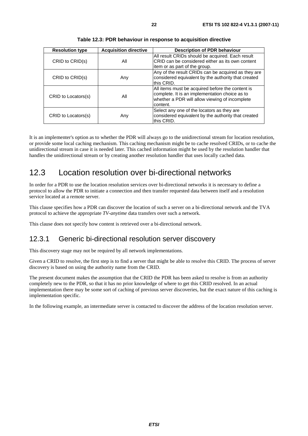| <b>Resolution type</b> | <b>Acquisition directive</b> | <b>Description of PDR behaviour</b>                                                                                                                              |
|------------------------|------------------------------|------------------------------------------------------------------------------------------------------------------------------------------------------------------|
| CRID to CRID(s)        | All                          | All result CRIDs should be acquired. Each result<br>CRID can be considered either as its own content<br>litem or as part of the group.                           |
| CRID to CRID(s)        | Any                          | Any of the result CRIDs can be acquired as they are<br>considered equivalent by the authority that created<br>this CRID.                                         |
| CRID to Locators(s)    | All                          | All items must be acquired before the content is<br>complete. It is an implementation choice as to<br>whether a PDR will allow viewing of incomplete<br>content. |
| CRID to Locators(s)    | Any                          | Select any one of the locators as they are<br>considered equivalent by the authority that created<br>this CRID.                                                  |

**Table 12.3: PDR behaviour in response to acquisition directive** 

It is an implementer's option as to whether the PDR will always go to the unidirectional stream for location resolution, or provide some local caching mechanism. This caching mechanism might be to cache resolved CRIDs, or to cache the unidirectional stream in case it is needed later. This cached information might be used by the resolution handler that handles the unidirectional stream or by creating another resolution handler that uses locally cached data.

### 12.3 Location resolution over bi-directional networks

In order for a PDR to use the location resolution services over bi-directional networks it is necessary to define a protocol to allow the PDR to initiate a connection and then transfer requested data between itself and a resolution service located at a remote server.

This clause specifies how a PDR can discover the location of such a server on a bi-directional network and the TVA protocol to achieve the appropriate *TV-anytime* data transfers over such a network.

This clause does not specify how content is retrieved over a bi-directional network.

### 12.3.1 Generic bi-directional resolution server discovery

This discovery stage may not be required by all network implementations.

Given a CRID to resolve, the first step is to find a server that might be able to resolve this CRID. The process of server discovery is based on using the authority name from the CRID.

The present document makes the assumption that the CRID the PDR has been asked to resolve is from an authority completely new to the PDR, so that it has no prior knowledge of where to get this CRID resolved. In an actual implementation there may be some sort of caching of previous server discoveries, but the exact nature of this caching is implementation specific.

In the following example, an intermediate server is contacted to discover the address of the location resolution server.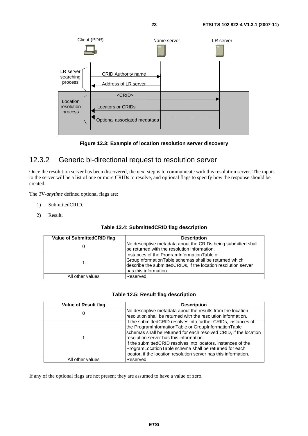

**Figure 12.3: Example of location resolution server discovery** 

### 12.3.2 Generic bi-directional request to resolution server

Once the resolution server has been discovered, the next step is to communicate with this resolution server. The inputs to the server will be a list of one or more CRIDs to resolve, and optional flags to specify how the response should be created.

The *TV-anytime* defined optional flags are:

- 1) SubmittedCRID.
- 2) Result.

| Value of SubmittedCRID flag | <b>Description</b>                                                                                            |
|-----------------------------|---------------------------------------------------------------------------------------------------------------|
|                             | No descriptive metadata about the CRIDs being submitted shall<br>be returned with the resolution information. |
|                             |                                                                                                               |
|                             | Instances of the ProgramInformationTable or                                                                   |
|                             | GroupInformationTable schemas shall be returned which                                                         |
|                             | describe the submitted CRIDs, if the location resolution server                                               |
|                             | has this information.                                                                                         |
| All other values            | Reserved.                                                                                                     |

#### **Table 12.5: Result flag description**

| <b>Value of Result flag</b> | <b>Description</b>                                                                                                      |
|-----------------------------|-------------------------------------------------------------------------------------------------------------------------|
| U                           | No descriptive metadata about the results from the location                                                             |
|                             | resolution shall be returned with the resolution information.                                                           |
|                             | If the submitted CRID resolves into further CRIDs, instances of<br>the ProgramInformationTable or GroupInformationTable |
|                             | schemas shall be returned for each resolved CRID, if the location                                                       |
|                             | resolution server has this information.                                                                                 |
|                             | If the submitted CRID resolves into locators, instances of the                                                          |
|                             | ProgramLocationTable schema shall be returned for each                                                                  |
|                             | locator, if the location resolution server has this information.                                                        |
| All other values            | Reserved.                                                                                                               |

If any of the optional flags are not present they are assumed to have a value of zero.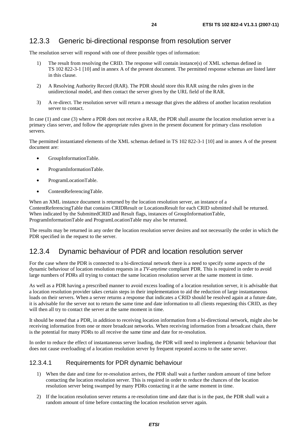#### 12.3.3 Generic bi-directional response from resolution server

The resolution server will respond with one of three possible types of information:

- 1) The result from resolving the CRID. The response will contain instance(s) of XML schemas defined in TS 102 822-3-1 [10] and in annex A of the present document. The permitted response schemas are listed later in this clause.
- 2) A Resolving Authority Record (RAR). The PDR should store this RAR using the rules given in the unidirectional model, and then contact the server given by the URL field of the RAR.
- 3) A re-direct. The resolution server will return a message that gives the address of another location resolution server to contact.

In case (1) and case (3) where a PDR does not receive a RAR, the PDR shall assume the location resolution server is a primary class server, and follow the appropriate rules given in the present document for primary class resolution servers.

The permitted instantiated elements of the XML schemas defined in TS 102 822-3-1 [10] and in annex A of the present document are:

- GroupInformationTable.
- ProgramInformationTable.
- ProgramLocationTable.
- ContentReferencingTable.

When an XML instance document is returned by the location resolution server, an instance of a ContentReferencingTable that contains CRIDResult or LocationsResult for each CRID submitted shall be returned. When indicated by the SubmittedCRID and Result flags, instances of GroupInformationTable, ProgramInformationTable and ProgramLocationTable may also be returned.

The results may be returned in any order the location resolution server desires and not necessarily the order in which the PDR specified in the request to the server.

#### 12.3.4 Dynamic behaviour of PDR and location resolution server

For the case where the PDR is connected to a bi-directional network there is a need to specify some aspects of the dynamic behaviour of location resolution requests in a *TV-anytime* compliant PDR. This is required in order to avoid large numbers of PDRs all trying to contact the same location resolution server at the same moment in time.

As well as a PDR having a prescribed manner to avoid excess loading of a location resolution server, it is advisable that a location resolution provider takes certain steps in their implementation to aid the reduction of large instantaneous loads on their servers. When a server returns a response that indicates a CRID should be resolved again at a future date, it is advisable for the server not to return the same time and date information to all clients requesting this CRID, as they will then all try to contact the server at the same moment in time.

It should be noted that a PDR, in addition to receiving location information from a bi-directional network, might also be receiving information from one or more broadcast networks. When receiving information from a broadcast chain, there is the potential for many PDRs to all receive the same time and date for re-resolution.

In order to reduce the effect of instantaneous server loading, the PDR will need to implement a dynamic behaviour that does not cause overloading of a location resolution server by frequent repeated access to the same server.

#### 12.3.4.1 Requirements for PDR dynamic behaviour

- 1) When the date and time for re-resolution arrives, the PDR shall wait a further random amount of time before contacting the location resolution server. This is required in order to reduce the chances of the location resolution server being swamped by many PDRs contacting it at the same moment in time.
- 2) If the location resolution server returns a re-resolution time and date that is in the past, the PDR shall wait a random amount of time before contacting the location resolution server again.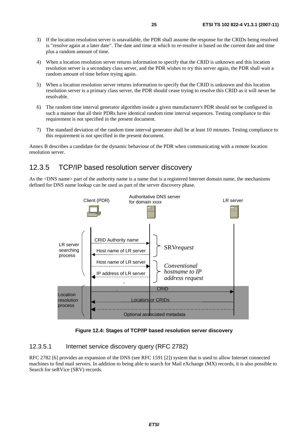- 3) If the location resolution server is unavailable, the PDR shall assume the response for the CRIDs being resolved is "resolve again at a later date". The date and time at which to re-resolve is based on the current date and time plus a random amount of time.
- 4) When a location resolution server returns information to specify that the CRID is unknown and this location resolution server is a secondary class server, and the PDR wishes to try this server again, the PDR shall wait a random amount of time before trying again.
- 5) When a location resolution server returns information to specify that the CRID is unknown and this location resolution server is a primary class server, the PDR should cease trying to resolve this CRID as it will never be resolvable.
- 6) The random time interval generator algorithm inside a given manufacturer's PDR should not be configured in such a manner that all their PDRs have identical random time interval sequences. Testing compliance to this requirement is not specified in the present document.
- 7) The standard deviation of the random time interval generator shall be at least 10 minutes. Testing compliance to this requirement is not specified in the present document.

Annex B describes a candidate for the dynamic behaviour of the PDR when communicating with a remote location resolution server.

### 12.3.5 TCP/IP based resolution server discovery

As the <DNS name> part of the authority name is a name that is a registered Internet domain name, the mechanisms defined for DNS name lookup can be used as part of the server discovery phase.



**Figure 12.4: Stages of TCP/IP based resolution server discovery** 

#### 12.3.5.1 Internet service discovery query (RFC 2782)

RFC 2782 [6] provides an expansion of the DNS (see RFC 1591 [2]) system that is used to allow Internet connected machines to find mail servers. In addition to being able to search for Mail eXchange (MX) records, it is also possible to Search for seRVice (SRV) records.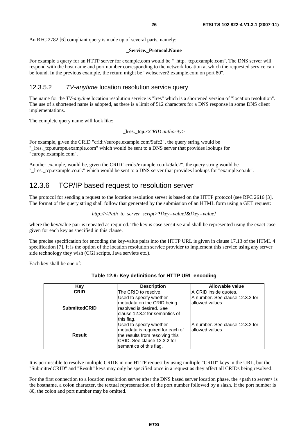#### **\_Service.\_Protocol.Name**

For example a query for an HTTP server for example.com would be "\_http.\_tcp.example.com". The DNS server will respond with the host name and port number corresponding to the network location at which the requested service can be found. In the previous example, the return might be "webserver2.example.com on port 80".

#### 12.3.5.2 *TV-anytime* location resolution service query

The name for the *TV-anytime* location resolution service is "lres" which is a shortened version of "location resolution". The use of a shortened name is adopted, as there is a limit of 512 characters for a DNS response in some DNS client implementations.

The complete query name will look like:

```
_lres._tcp.<CRID authority>
```
For example, given the CRID "crid://europe.example.com/9afc2", the query string would be "\_lres.\_tcp.europe.example.com" which would be sent to a DNS server that provides lookups for "europe.example.com".

Another example, would be, given the CRID "crid://example.co.uk/9afc2", the query string would be "\_lres.\_tcp.example.co.uk" which would be sent to a DNS server that provides lookups for "example.co.uk".

#### 12.3.6 TCP/IP based request to resolution server

The protocol for sending a request to the location resolution server is based on the HTTP protocol (see RFC 2616 [3]. The format of the query string shall follow that generated by the submission of an HTML form using a GET request:

```
http://<Path_to_server_script>?[key=value]&[key=value]
```
where the key/value pair is repeated as required. The key is case sensitive and shall be represented using the exact case given for each key as specified in this clause.

The precise specification for encoding the key-value pairs into the HTTP URL is given in clause 17.13 of the HTML 4 specification [7]. It is the option of the location resolution service provider to implement this service using any server side technology they wish (CGI scripts, Java servlets etc.).

Each key shall be one of:

| Key                  | <b>Description</b>                                                                                                                                        | Allowable value                                      |
|----------------------|-----------------------------------------------------------------------------------------------------------------------------------------------------------|------------------------------------------------------|
| <b>CRID</b>          | The CRID to resolve.                                                                                                                                      | A CRID inside quotes.                                |
| <b>SubmittedCRID</b> | Used to specify whether<br>metadata on the CRID being<br>resolved is desired. See<br>clause 12.3.2 for semantics of<br>this flag.                         | A number. See clause 12.3.2 for<br>lallowed values.  |
| <b>Result</b>        | Used to specify whether<br>metadata is required for each of<br>the results from resolving this<br>ICRID. See clause 12.3.2 for<br>semantics of this flag. | IA number. See clause 12.3.2 for<br>lallowed values. |

| Table 12.6: Key definitions for HTTP URL encoding |  |  |  |
|---------------------------------------------------|--|--|--|
|---------------------------------------------------|--|--|--|

It is permissible to resolve multiple CRIDs in one HTTP request by using multiple "CRID" keys in the URL, but the "SubmittedCRID" and "Result" keys may only be specified once in a request as they affect all CRIDs being resolved.

For the first connection to a location resolution server after the DNS based server location phase, the  $\leq$ path to server> is the hostname, a colon character, the textual representation of the port number followed by a slash. If the port number is 80, the colon and port number may be omitted.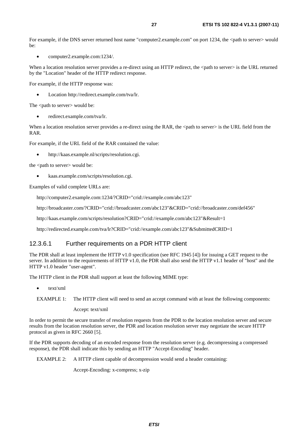For example, if the DNS server returned host name "computer2.example.com" on port 1234, the  $\lt$ path to server> would  $he:$ 

• computer2.example.com:1234/.

When a location resolution server provides a re-direct using an HTTP redirect, the <path to server> is the URL returned by the "Location" header of the HTTP redirect response.

For example, if the HTTP response was:

• Location http://redirect.example.com/tva/lr.

The <path to server> would be:

• redirect.example.com/tva/lr.

When a location resolution server provides a re-direct using the RAR, the <path to server> is the URL field from the RAR.

For example, if the URL field of the RAR contained the value:

• http://kaas.example.nl/scripts/resolution.cgi.

the <path to server> would be:

• kaas.example.com/scripts/resolution.cgi.

Examples of valid complete URLs are:

http://computer2.example.com:1234/?CRID="crid://example.com/abc123"

http://broadcaster.com/?CRID="crid://broadcaster.com/abc123"&CRID="crid://broadcaster.com/def456"

http://kaas.example.com/scripts/resolution?CRID="crid://example.com/abc123"&Result=1

http://redirected.example.com/tva/lr?CRID="crid://example.com/abc123"&SubmittedCRID=1

#### 12.3.6.1 Further requirements on a PDR HTTP client

The PDR shall at least implement the HTTP v1.0 specification (see RFC 1945 [4]) for issuing a GET request to the server. In addition to the requirements of HTTP v1.0, the PDR shall also send the HTTP v1.1 header of "host" and the HTTP v1.0 header "user-agent".

The HTTP client in the PDR shall support at least the following MIME type:

• text/xml

Accept: text/xml

In order to permit the secure transfer of resolution requests from the PDR to the location resolution server and secure results from the location resolution server, the PDR and location resolution server may negotiate the secure HTTP protocol as given in RFC 2660 [5].

If the PDR supports decoding of an encoded response from the resolution server (e.g. decompressing a compressed response), the PDR shall indicate this by sending an HTTP "Accept-Encoding" header.

EXAMPLE 2: A HTTP client capable of decompression would send a header containing:

Accept-Encoding: x-compress; x-zip

EXAMPLE 1: The HTTP client will need to send an accept command with at least the following components: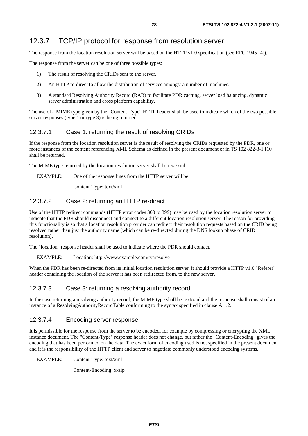The response from the location resolution server will be based on the HTTP v1.0 specification (see RFC 1945 [4]).

The response from the server can be one of three possible types:

- 1) The result of resolving the CRIDs sent to the server.
- 2) An HTTP re-direct to allow the distribution of services amongst a number of machines.
- 3) A standard Resolving Authority Record (RAR) to facilitate PDR caching, server load balancing, dynamic server administration and cross platform capability.

The use of a MIME type given by the "Content-Type" HTTP header shall be used to indicate which of the two possible server responses (type 1 or type 3) is being returned.

#### 12.3.7.1 Case 1: returning the result of resolving CRIDs

If the response from the location resolution server is the result of resolving the CRIDs requested by the PDR, one or more instances of the content referencing XML Schema as defined in the present document or in TS 102 822-3-1 [10] shall be returned.

The MIME type returned by the location resolution server shall be text/xml.

EXAMPLE: One of the response lines from the HTTP server will be:

Content-Type: text/xml

#### 12.3.7.2 Case 2: returning an HTTP re-direct

Use of the HTTP redirect commands (HTTP error codes 300 to 399) may be used by the location resolution server to indicate that the PDR should disconnect and connect to a different location resolution server. The reason for providing this functionality is so that a location resolution provider can redirect their resolution requests based on the CRID being resolved rather than just the authority name (which can be re-directed during the DNS lookup phase of CRID resolution).

The "location" response header shall be used to indicate where the PDR should contact.

#### EXAMPLE: Location: http://www.example.com/tvaresolve

When the PDR has been re-directed from its initial location resolution server, it should provide a HTTP v1.0 "Referer" header containing the location of the server it has been redirected from, to the new server.

#### 12.3.7.3 Case 3: returning a resolving authority record

In the case returning a resolving authority record, the MIME type shall be text/xml and the response shall consist of an instance of a ResolvingAuthorityRecordTable conforming to the syntax specified in clause A.1.2.

#### 12.3.7.4 Encoding server response

It is permissible for the response from the server to be encoded, for example by compressing or encrypting the XML instance document. The "Content-Type" response header does not change, but rather the "Content-Encoding" gives the encoding that has been performed on the data. The exact form of encoding used is not specified in the present document and it is the responsibility of the HTTP client and server to negotiate commonly understood encoding systems.

EXAMPLE: Content-Type: text/xml

Content-Encoding: x-zip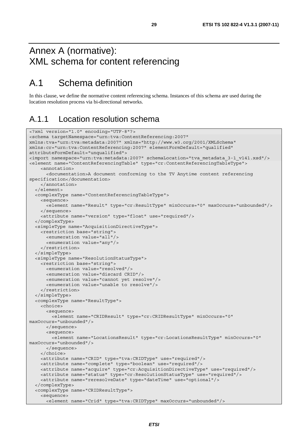# Annex A (normative): XML schema for content referencing

# A.1 Schema definition

In this clause, we define the normative content referencing schema. Instances of this schema are used during the location resolution process via bi-directional networks.

### A.1.1 Location resolution schema

```
<?xml version="1.0" encoding="UTF-8"?> 
<schema targetNamespace="urn:tva:ContentReferencing:2007" 
xmlns:tva="urn:tva:metadata:2007" xmlns="http://www.w3.org/2001/XMLSchema" 
xmlns:cr="urn:tva:ContentReferencing:2007" elementFormDefault="qualified" 
attributeFormDefault="unqualified"> 
<import namespace="urn:tva:metadata:2007" schemaLocation="tva_metadata_3-1_v141.xsd"/> 
<element name="ContentReferencingTable" type="cr:ContentReferencingTableType"> 
     <annotation> 
       <documentation>A document conforming to the TV Anytime content referencing 
specification</documentation> 
     </annotation> 
   </element> 
   <complexType name="ContentReferencingTableType"> 
     <sequence> 
       <element name="Result" type="cr:ResultType" minOccurs="0" maxOccurs="unbounded"/> 
     </sequence> 
     <attribute name="version" type="float" use="required"/> 
   </complexType> 
   <simpleType name="AcquisitionDirectiveType"> 
     <restriction base="string"> 
       <enumeration value="all"/> 
       <enumeration value="any"/> 
     </restriction> 
   </simpleType> 
   <simpleType name="ResolutionStatusType"> 
     <restriction base="string"> 
       <enumeration value="resolved"/> 
       <enumeration value="discard CRID"/> 
       <enumeration value="cannot yet resolve"/> 
       <enumeration value="unable to resolve"/> 
     </restriction> 
   </simpleType> 
   <complexType name="ResultType"> 
     <choice> 
       <sequence> 
         <element name="CRIDResult" type="cr:CRIDResultType" minOccurs="0" 
maxOccurs="unbounded"/> 
       </sequence> 
       <sequence> 
         <element name="LocationsResult" type="cr:LocationsResultType" minOccurs="0" 
maxOccurs="unbounded"/> 
       </sequence> 
     </choice> 
     <attribute name="CRID" type="tva:CRIDType" use="required"/> 
     <attribute name="complete" type="boolean" use="required"/> 
     <attribute name="acquire" type="cr:AcquisitionDirectiveType" use="required"/> 
     <attribute name="status" type="cr:ResolutionStatusType" use="required"/> 
     <attribute name="reresolveDate" type="dateTime" use="optional"/> 
   </complexType> 
   <complexType name="CRIDResultType"> 
     <sequence> 
       <element name="Crid" type="tva:CRIDType" maxOccurs="unbounded"/>
```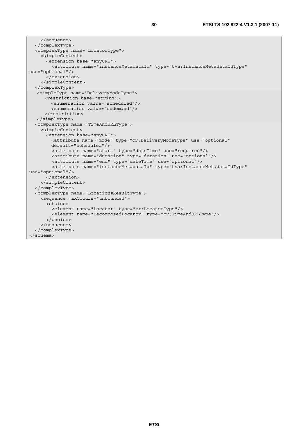```
 </sequence> 
   </complexType> 
   <complexType name="LocatorType"> 
     <simpleContent> 
       <extension base="anyURI"> 
         <attribute name="instanceMetadataId" type="tva:InstanceMetadataIdType" 
use="optional"/> 
       </extension> 
     </simpleContent> 
   </complexType> 
    <simpleType name="DeliveryModeType"> 
      <restriction base="string"> 
         <enumeration value="scheduled"/> 
         <enumeration value="ondemand"/> 
       </restriction> 
   </simpleType> 
   <complexType name="TimeAndURLType"> 
     <simpleContent> 
       <extension base="anyURI"> 
         <attribute name="mode" type="cr:DeliveryModeType" use="optional" 
         default="scheduled"/> 
         <attribute name="start" type="dateTime" use="required"/> 
         <attribute name="duration" type="duration" use="optional"/> 
         <attribute name="end" type="dateTime" use="optional"/> 
         <attribute name="instanceMetadataId" type="tva:InstanceMetadataIdType" 
use="optional"/> 
       </extension> 
     </simpleContent> 
   </complexType> 
   <complexType name="LocationsResultType"> 
     <sequence maxOccurs="unbounded"> 
       <choice> 
         <element name="Locator" type="cr:LocatorType"/> 
         <element name="DecomposedLocator" type="cr:TimeAndURLType"/> 
       </choice> 
     </sequence> 
   </complexType> 
</schema>
```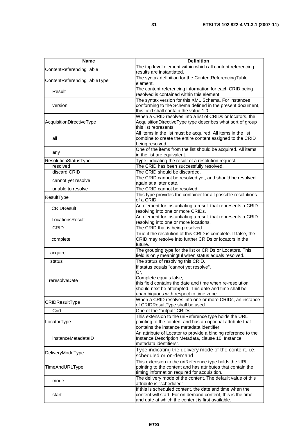| Name                        | <b>Definition</b>                                                                                                                                                                                                                      |
|-----------------------------|----------------------------------------------------------------------------------------------------------------------------------------------------------------------------------------------------------------------------------------|
| ContentReferencingTable     | The top level element within which all content referencing<br>results are instantiated.                                                                                                                                                |
| ContentReferencingTableType | The syntax definition for the ContentReferencingTable<br>element.                                                                                                                                                                      |
| Result                      | The content referencing information for each CRID being<br>resolved is contained within this element.                                                                                                                                  |
| version                     | The syntax version for this XML Schema. For instances<br>conforming to the Schema defined in the present document,<br>this field shall contain the value 1.0.                                                                          |
| AcquisitionDirectiveType    | When a CRID resolves into a list of CRIDs or locators, the<br>AcquisitionDirectiveType type describes what sort of group<br>this list represents.                                                                                      |
| all                         | All items in the list must be acquired. All items in the list<br>combine to create the entire content assigned to the CRID<br>being resolved.                                                                                          |
| any                         | One of the items from the list should be acquired. All items<br>in the list are equivalent.                                                                                                                                            |
| ResolutionStatusType        | Type indicating the result of a resolution request.                                                                                                                                                                                    |
| resolved                    | The CRID has been successfully resolved.                                                                                                                                                                                               |
| discard CRID                | The CRID should be discarded.                                                                                                                                                                                                          |
| cannot yet resolve          | The CRID cannot be resolved yet, and should be resolved<br>again at a later date.                                                                                                                                                      |
| unable to resolve           | The CRID cannot be resolved.                                                                                                                                                                                                           |
| ResultType                  | This type provides the container for all possible resolutions<br>of a CRID.                                                                                                                                                            |
| <b>CRIDResult</b>           | An element for instantiating a result that represents a CRID<br>resolving into one or more CRIDs.                                                                                                                                      |
| LocationsResult             | An element for instantiating a result that represents a CRID<br>resolving into one or more locations.                                                                                                                                  |
| <b>CRID</b>                 | The CRID that is being resolved.                                                                                                                                                                                                       |
| complete                    | True if the resolution of this CRID is complete. If false, the<br>CRID may resolve into further CRIDs or locators in the<br>future.                                                                                                    |
| acquire                     | The grouping type for the list or CRIDs or Locators. This<br>field is only meaningful when status equals resolved.                                                                                                                     |
| status                      | The status of resolving this CRID.                                                                                                                                                                                                     |
| reresolveDate               | If status equals "cannot yet resolve",<br>Or.<br>Complete equals false,<br>this field contains the date and time when re-resolution<br>should next be attempted. This date and time shall be<br>unambiguous with respect to time zone. |
| CRIDResultType              | When a CRID resolves into one or more CRIDs, an instance<br>of CRIDResultType shall be used.                                                                                                                                           |
| Crid                        | One of the "output" CRIDs.                                                                                                                                                                                                             |
| LocatorType                 | This extension to the uriReference type holds the URL<br>pointing to the content and has an optional attribute that<br>contains the instance metadata identifier.                                                                      |
| instanceMetadataID          | An attribute of Locator to provide a binding reference to the<br>Instance Description Metadata, clause 10 Instance<br>metadata identifiers".                                                                                           |
| DeliveryModeType            | Type indicating the delivery mode of the content. i.e.<br>scheduled or on-demand.                                                                                                                                                      |
| TimeAndURLType              | This extension to the uriReference type holds the URL<br>pointing to the content and has attributes that contain the<br>timing information required for acquisition.                                                                   |
| mode                        | The delivery mode of the content. The default value of this<br>attribute is "scheduled".                                                                                                                                               |
| start                       | If this is scheduled content, the date and time when the<br>content will start. For on demand content, this is the time<br>and date at which the content is first available.                                                           |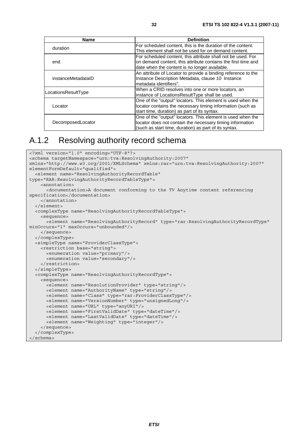| Name                | <b>Definition</b>                                             |
|---------------------|---------------------------------------------------------------|
| duration            | For scheduled content, this is the duration of the content.   |
|                     | This element shall not be used for on demand content.         |
|                     | For scheduled content, this attribute shall not be used. For  |
| end                 | on demand content, this attribute contains the first time and |
|                     | date when the content is no longer available.                 |
|                     | An attribute of Locator to provide a binding reference to the |
| instanceMetadataID  | Instance Description Metadata, clause 10 Instance             |
|                     | metadata identifiers".                                        |
| LocationsResultType | When a CRID resolves into one or more locators, an            |
|                     | instance of LocationsResultType shall be used.                |
|                     | One of the "output" locators. This element is used when the   |
| Locator             | locator contains the necessary timing information (such as    |
|                     | start time, duration) as part of its syntax.                  |
|                     | One of the "output" locators. This element is used when the   |
| DecomposedLocator   | locator does not contain the necessary timing information     |
|                     | (such as start time, duration) as part of its syntax.         |

### A.1.2 Resolving authority record schema

```
<?xml version="1.0" encoding="UTF-8"?> 
<schema targetNamespace="urn:tva:ResolvingAuthority:2007" 
xmlns="http://www.w3.org/2001/XMLSchema" xmlns:rar="urn:tva:ResolvingAuthority:2007" 
elementFormDefault="qualified"> 
   <element name="ResolvingAuthorityRecordTable" 
type="RAR:ResolvingAuthorityRecordTableType"> 
     <annotation> 
       <documentation>A document conforming to the TV Anytime content referencing 
specification</documentation> 
     </annotation> 
   </element> 
   <complexType name="ResolvingAuthorityRecordTableType"> 
     <sequence> 
       <element name="ResolvingAuthorityRecord" type="rar:ResolvingAuthorityRecordType" 
minOccurs="1" maxOccurs="unbounded"/> 
     </sequence> 
   </complexType> 
   <simpleType name="ProviderClassType"> 
     <restriction base="string"> 
       <enumeration value="primary"/> 
       <enumeration value="secondary"/> 
     </restriction> 
   </simpleType> 
   <complexType name="ResolvingAuthorityRecordType"> 
     <sequence> 
       <element name="ResolutionProvider" type="string"/> 
       <element name="AuthorityName" type="string"/> 
       <element name="Class" type="rar:ProviderClassType"/> 
       <element name="VersionNumber" type="unsignedLong"/> 
       <element name="URL" type="anyURI"/> 
       <element name="FirstValidDate" type="dateTime"/> 
       <element name="LastValidDate" type="dateTime"/> 
       <element name="Weighting" type="integer"/> 
     </sequence> 
   </complexType> 
</schema>
```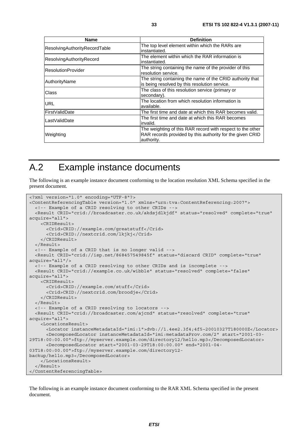| <b>Name</b>                   | <b>Definition</b>                                                                                                                     |
|-------------------------------|---------------------------------------------------------------------------------------------------------------------------------------|
| ResolvingAuthorityRecordTable | The top level element within which the RARs are<br>instantiated.                                                                      |
| ResolvingAuthorityRecord      | The element within which the RAR information is<br>instantiated.                                                                      |
| <b>ResolutionProvider</b>     | The string containing the name of the provider of this<br>resolution service.                                                         |
| AuthorityName                 | The string containing the name of the CRID authority that<br>is being resolved by this resolution service.                            |
| <b>Class</b>                  | The class of this resolution service (primary or<br>secondary).                                                                       |
| <b>URL</b>                    | The location from which resolution information is<br>available.                                                                       |
| <b>FirstValidDate</b>         | The first time and date at which this RAR becomes valid.                                                                              |
| lLastValidDate                | The first time and date at which this RAR becomes<br>invalid.                                                                         |
| Weighting                     | The weighting of this RAR record with respect to the other<br>RAR records provided by this authority for the given CRID<br>authority. |

# A.2 Example instance documents

The following is an example instance document conforming to the location resolution XML Schema specified in the present document.

```
<?xml version="1.0" encoding="UTF-8"?> 
<ContentReferencingTable version="1.0" xmlns="urn:tva:ContentReferencing:2007"> 
  <!-- Example of a CRID resolving to other CRIDs -
   <Result CRID="crid://broadcaster.co.uk/akdsjdlkjdf" status="resolved" complete="true" 
acquire="all"> 
     <CRIDResult> 
       <Crid>CRID://example.com/greatstuff</Crid> 
       <Crid>CRID://nextcrid.com/lkjkj</Crid> 
     </CRIDResult> 
   </Result> 
   <!-- Example of a CRID that is no longer valid --> 
   <Result CRID="crid://isp.net/868457549845f" status="discard CRID" complete="true" 
acquire="all"/> 
   <!-- Example of a CRID resolving to other CRIDs and is incomplete --> 
   <Result CRID="crid://example.co.uk/wibble" status="resolved" complete="false" 
acquire="all"> 
     <CRIDResult> 
       <Crid>CRID://example.com/stuff</Crid> 
       <Crid>CRID://nextcrid.com/broodje</Crid> 
     </CRIDResult> 
   </Result> 
   <!-- Example of a CRID resolving to locators --> 
   <Result CRID="crid://broadcaster.com/ajcnd" status="resolved" complete="true" 
acquire="all"> 
     <LocationsResult> 
       <Locator instanceMetadataId="imi:1">dvb://1.4ee2.3f4;4f5~20010327T180000Z</Locator> 
       <DecomposedLocator instanceMetadataId="imi:metadataProv.com/2" start="2001-03-
29T18:00:00.00">ftp://myserver.example.com/directory12/hello.mp3</DecomposedLocator> 
       <DecomposedLocator start="2001-03-29T18:00:00.00" end="2001-04-
03T18:00:00.00">ftp://myserver.example.com/directory12-
backup/hello.mp3</DecomposedLocator> 
     </LocationsResult> 
   </Result> 
</ContentReferencingTable>
```
The following is an example instance document conforming to the RAR XML Schema specified in the present document.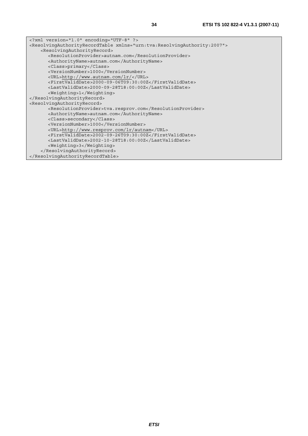| xml version="1.0" encoding="UTF-8" ?                                                                    |
|---------------------------------------------------------------------------------------------------------|
| <resolvingauthorityrecordtable xmlns="urn:tva:ResolvingAuthority:2007"></resolvingauthorityrecordtable> |
| <resolvingauthorityrecord></resolvingauthorityrecord>                                                   |
| <resolutionprovider>autnam.com</resolutionprovider>                                                     |
| <authorityname>autnam.com</authorityname>                                                               |
| <class>primary</class>                                                                                  |
| <versionnumber>1000</versionnumber>                                                                     |
| <url>http://www.autnam.com/lr/</url>                                                                    |
| <firstvaliddate>2000-09-06T09:30:00Z</firstvaliddate>                                                   |
| <lastvaliddate>2000-09-28T18:00:00Z</lastvaliddate>                                                     |
| <weighting>1</weighting>                                                                                |
|                                                                                                         |
| <resolvingauthorityrecord></resolvingauthorityrecord>                                                   |
| <resolutionprovider>tva.resprov.com</resolutionprovider>                                                |
| <authorityname>autnam.com</authorityname>                                                               |
| <class>secondary</class>                                                                                |
| <versionnumber>1000</versionnumber>                                                                     |
| <url>http://www.resprov.com/lr/autnam</url>                                                             |
| <firstvaliddate>2002-09-26T09:30:00Z</firstvaliddate>                                                   |
| <lastvaliddate>2002-10-28T18:00:00Z</lastvaliddate>                                                     |
| <weighting>3</weighting>                                                                                |
|                                                                                                         |

 </ResolvingAuthorityRecord> </ResolvingAuthorityRecordTable>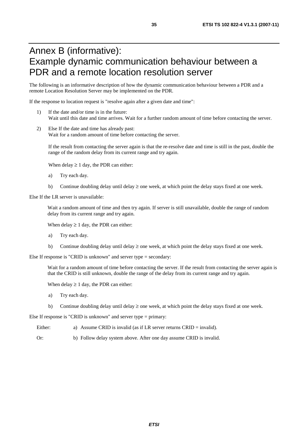# Annex B (informative): Example dynamic communication behaviour between a PDR and a remote location resolution server

The following is an informative description of how the dynamic communication behaviour between a PDR and a remote Location Resolution Server may be implemented on the PDR.

If the response to location request is "resolve again after a given date and time":

- 1) If the date and/or time is in the future: Wait until this date and time arrives. Wait for a further random amount of time before contacting the server.
- 2) Else If the date and time has already past: Wait for a random amount of time before contacting the server.

If the result from contacting the server again is that the re-resolve date and time is still in the past, double the range of the random delay from its current range and try again.

When delay  $\geq 1$  day, the PDR can either:

- a) Try each day.
- b) Continue doubling delay until delay  $\geq$  one week, at which point the delay stays fixed at one week.

Else If the LR server is unavailable:

Wait a random amount of time and then try again. If server is still unavailable, double the range of random delay from its current range and try again.

When delay  $\geq 1$  day, the PDR can either:

- a) Try each day.
- b) Continue doubling delay until delay  $\geq$  one week, at which point the delay stays fixed at one week.

Else If response is "CRID is unknown" and server type = secondary:

Wait for a random amount of time before contacting the server. If the result from contacting the server again is that the CRID is still unknown, double the range of the delay from its current range and try again.

When delay  $\geq 1$  day, the PDR can either:

- a) Try each day.
- b) Continue doubling delay until delay  $\geq$  one week, at which point the delay stays fixed at one week.

Else If response is "CRID is unknown" and server type = primary:

- Either: a) Assume CRID is invalid (as if LR server returns CRID = invalid).
- Or: b) Follow delay system above. After one day assume CRID is invalid.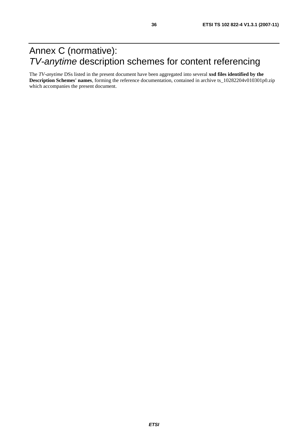# Annex C (normative): *TV-anytime* description schemes for content referencing

The *TV-anytime* DSs listed in the present document have been aggregated into several **xsd files identified by the Description Schemes' names**, forming the reference documentation, contained in archive ts\_10282204v010301p0.zip which accompanies the present document.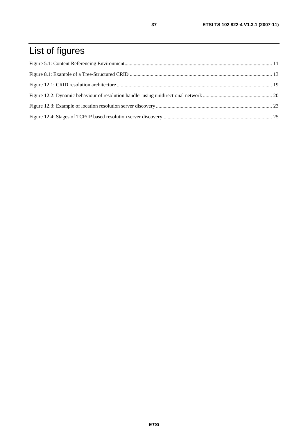# List of figures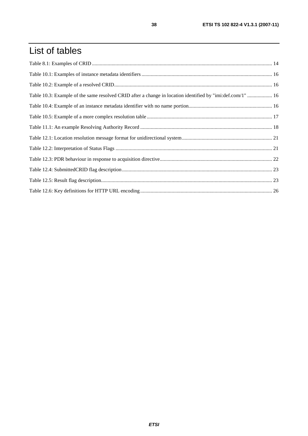# List of tables

| Table 10.3: Example of the same resolved CRID after a change in location identified by "imi:def.com/1"  16 |  |
|------------------------------------------------------------------------------------------------------------|--|
|                                                                                                            |  |
|                                                                                                            |  |
|                                                                                                            |  |
|                                                                                                            |  |
|                                                                                                            |  |
|                                                                                                            |  |
|                                                                                                            |  |
|                                                                                                            |  |
|                                                                                                            |  |